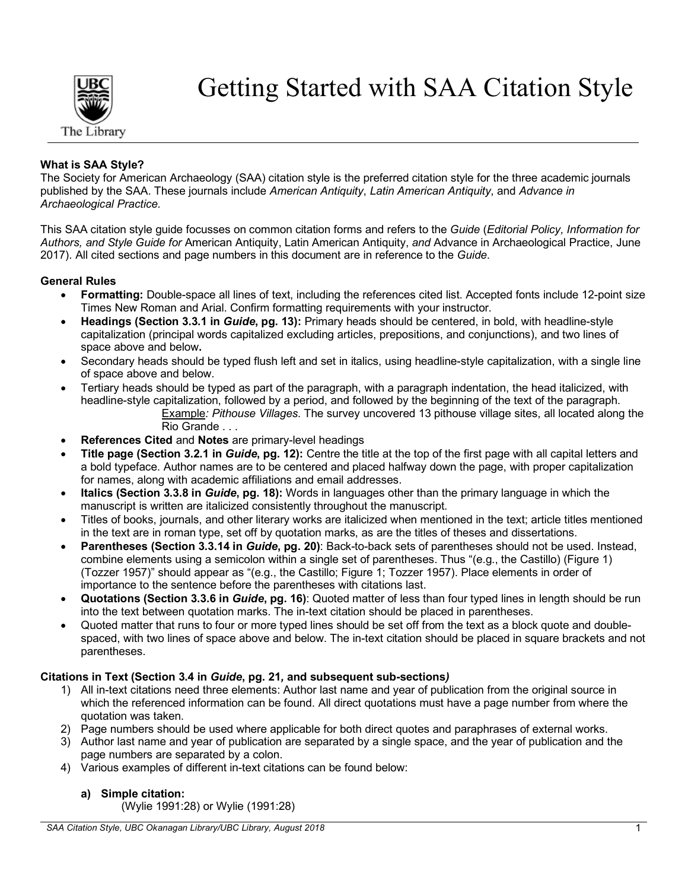

Getting Started with SAA Citation Style

# **What is SAA Style?**

The Society for American Archaeology (SAA) citation style is the preferred citation style for the three academic journals published by the SAA. These journals include *American Antiquity*, *Latin American Antiquity*, and *Advance in Archaeological Practice.* 

This SAA citation style guide focusses on common citation forms and refers to the *Guide* (*Editorial Policy, Information for Authors, and Style Guide for* American Antiquity, Latin American Antiquity, *and* Advance in Archaeological Practice, June 2017). All cited sections and page numbers in this document are in reference to the *Guide*.

### **General Rules**

- **Formatting:** Double-space all lines of text, including the references cited list. Accepted fonts include 12-point size Times New Roman and Arial. Confirm formatting requirements with your instructor.
- **Headings (Section 3.3.1 in** *Guide***, pg. 13):** Primary heads should be centered, in bold, with headline-style capitalization (principal words capitalized excluding articles, prepositions, and conjunctions), and two lines of space above and below**.**
- Secondary heads should be typed flush left and set in italics, using headline-style capitalization, with a single line of space above and below.
- Tertiary heads should be typed as part of the paragraph, with a paragraph indentation, the head italicized, with headline-style capitalization, followed by a period, and followed by the beginning of the text of the paragraph. Example*: Pithouse Villages.* The survey uncovered 13 pithouse village sites, all located along the Rio Grande . . .
- **References Cited** and **Notes** are primary-level headings
- **Title page (Section 3.2.1 in** *Guide***, pg. 12):** Centre the title at the top of the first page with all capital letters and a bold typeface. Author names are to be centered and placed halfway down the page, with proper capitalization for names, along with academic affiliations and email addresses.
- **Italics (Section 3.3.8 in** *Guide***, pg. 18):** Words in languages other than the primary language in which the manuscript is written are italicized consistently throughout the manuscript.
- Titles of books, journals, and other literary works are italicized when mentioned in the text; article titles mentioned in the text are in roman type, set off by quotation marks, as are the titles of theses and dissertations.
- **Parentheses (Section 3.3.14 in** *Guide***, pg. 20)**: Back-to-back sets of parentheses should not be used. Instead, combine elements using a semicolon within a single set of parentheses. Thus "(e.g., the Castillo) (Figure 1) (Tozzer 1957)" should appear as "(e.g., the Castillo; Figure 1; Tozzer 1957). Place elements in order of importance to the sentence before the parentheses with citations last.
- **Quotations (Section 3.3.6 in** *Guide***, pg. 16)**: Quoted matter of less than four typed lines in length should be run into the text between quotation marks. The in-text citation should be placed in parentheses.
- Quoted matter that runs to four or more typed lines should be set off from the text as a block quote and doublespaced, with two lines of space above and below. The in-text citation should be placed in square brackets and not parentheses.

# **Citations in Text (Section 3.4 in** *Guide***, pg. 21***,* **and subsequent sub-sections***)*

- 1) All in-text citations need three elements: Author last name and year of publication from the original source in which the referenced information can be found. All direct quotations must have a page number from where the quotation was taken.
- 2) Page numbers should be used where applicable for both direct quotes and paraphrases of external works.
- 3) Author last name and year of publication are separated by a single space, and the year of publication and the page numbers are separated by a colon.
- 4) Various examples of different in-text citations can be found below:

# **a) Simple citation:**

(Wylie 1991:28) or Wylie (1991:28)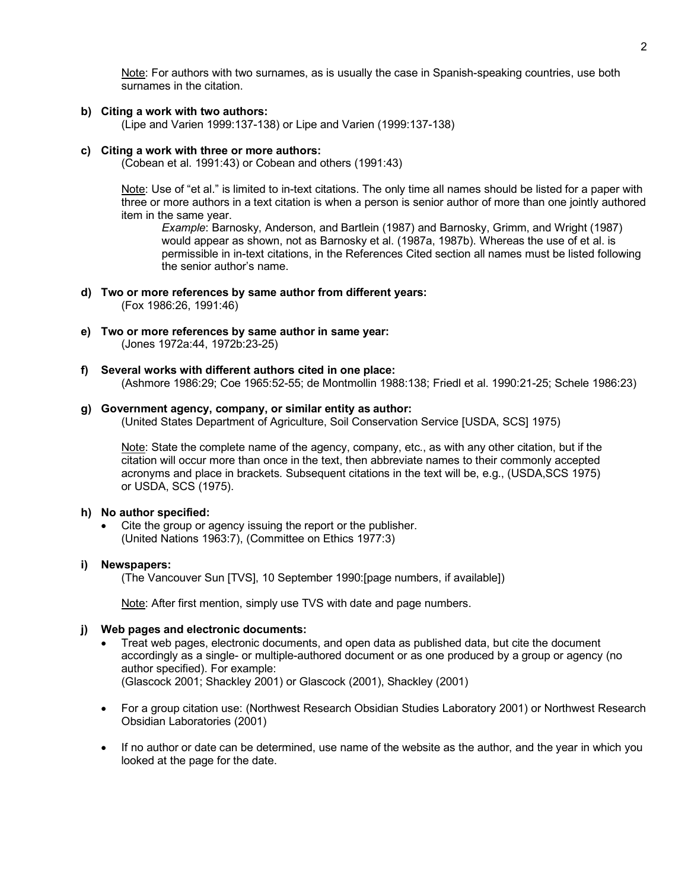Note: For authors with two surnames, as is usually the case in Spanish-speaking countries, use both surnames in the citation.

**b) Citing a work with two authors:**

(Lipe and Varien 1999:137-138) or Lipe and Varien (1999:137-138)

#### **c) Citing a work with three or more authors:**

(Cobean et al. 1991:43) or Cobean and others (1991:43)

Note: Use of "et al." is limited to in-text citations. The only time all names should be listed for a paper with three or more authors in a text citation is when a person is senior author of more than one jointly authored item in the same year.

*Example*: Barnosky, Anderson, and Bartlein (1987) and Barnosky, Grimm, and Wright (1987) would appear as shown, not as Barnosky et al. (1987a, 1987b). Whereas the use of et al. is permissible in in-text citations, in the References Cited section all names must be listed following the senior author's name.

- **d) Two or more references by same author from different years:** (Fox 1986:26, 1991:46)
- **e) Two or more references by same author in same year:** (Jones 1972a:44, 1972b:23-25)
- **f) Several works with different authors cited in one place:** (Ashmore 1986:29; Coe 1965:52-55; de Montmollin 1988:138; Friedl et al. 1990:21-25; Schele 1986:23)

#### **g) Government agency, company, or similar entity as author:**

(United States Department of Agriculture, Soil Conservation Service [USDA, SCS] 1975)

Note: State the complete name of the agency, company, etc., as with any other citation, but if the citation will occur more than once in the text, then abbreviate names to their commonly accepted acronyms and place in brackets. Subsequent citations in the text will be, e.g., (USDA,SCS 1975) or USDA, SCS (1975).

#### **h) No author specified:**

Cite the group or agency issuing the report or the publisher. (United Nations 1963:7), (Committee on Ethics 1977:3)

#### **i) Newspapers:**

(The Vancouver Sun [TVS], 10 September 1990:[page numbers, if available])

Note: After first mention, simply use TVS with date and page numbers.

#### **j) Web pages and electronic documents:**

- Treat web pages, electronic documents, and open data as published data, but cite the document accordingly as a single- or multiple-authored document or as one produced by a group or agency (no author specified). For example: (Glascock 2001; Shackley 2001) or Glascock (2001), Shackley (2001)
- For a group citation use: (Northwest Research Obsidian Studies Laboratory 2001) or Northwest Research Obsidian Laboratories (2001)
- If no author or date can be determined, use name of the website as the author, and the year in which you looked at the page for the date.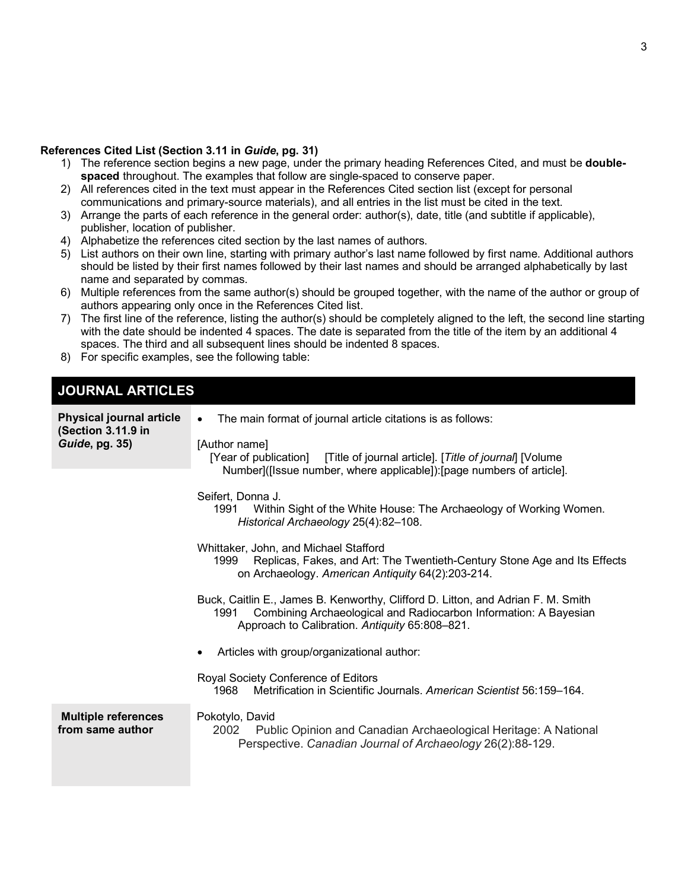#### **References Cited List (Section 3.11 in** *Guide***, pg. 31)**

- 1) The reference section begins a new page, under the primary heading References Cited, and must be **doublespaced** throughout. The examples that follow are single-spaced to conserve paper.
- 2) All references cited in the text must appear in the References Cited section list (except for personal communications and primary-source materials), and all entries in the list must be cited in the text.
- 3) Arrange the parts of each reference in the general order: author(s), date, title (and subtitle if applicable), publisher, location of publisher.
- 4) Alphabetize the references cited section by the last names of authors.
- 5) List authors on their own line, starting with primary author's last name followed by first name. Additional authors should be listed by their first names followed by their last names and should be arranged alphabetically by last name and separated by commas.
- 6) Multiple references from the same author(s) should be grouped together, with the name of the author or group of authors appearing only once in the References Cited list.
- 7) The first line of the reference, listing the author(s) should be completely aligned to the left, the second line starting with the date should be indented 4 spaces. The date is separated from the title of the item by an additional 4 spaces. The third and all subsequent lines should be indented 8 spaces.
- 8) For specific examples, see the following table:

# **JOURNAL ARTICLES**

| <b>Physical journal article</b><br>(Section 3.11.9 in<br>Guide, pg. 35) | The main format of journal article citations is as follows:<br>$\bullet$<br>[Author name]<br>[Year of publication] [Title of journal article]. [Title of journal] [Volume]<br>Number]([Issue number, where applicable]): [page numbers of article]. |
|-------------------------------------------------------------------------|-----------------------------------------------------------------------------------------------------------------------------------------------------------------------------------------------------------------------------------------------------|
|                                                                         | Seifert, Donna J.<br>Within Sight of the White House: The Archaeology of Working Women.<br>1991<br>Historical Archaeology 25(4):82-108.                                                                                                             |
|                                                                         | Whittaker, John, and Michael Stafford<br>Replicas, Fakes, and Art: The Twentieth-Century Stone Age and Its Effects<br>1999<br>on Archaeology. American Antiquity 64(2):203-214.                                                                     |
|                                                                         | Buck, Caitlin E., James B. Kenworthy, Clifford D. Litton, and Adrian F. M. Smith<br>Combining Archaeological and Radiocarbon Information: A Bayesian<br>1991<br>Approach to Calibration. Antiquity 65:808-821.                                      |
|                                                                         | Articles with group/organizational author:                                                                                                                                                                                                          |
|                                                                         | Royal Society Conference of Editors<br>Metrification in Scientific Journals. American Scientist 56:159-164.<br>1968                                                                                                                                 |
| <b>Multiple references</b><br>from same author                          | Pokotylo, David<br>2002<br>Public Opinion and Canadian Archaeological Heritage: A National<br>Perspective. Canadian Journal of Archaeology 26(2):88-129.                                                                                            |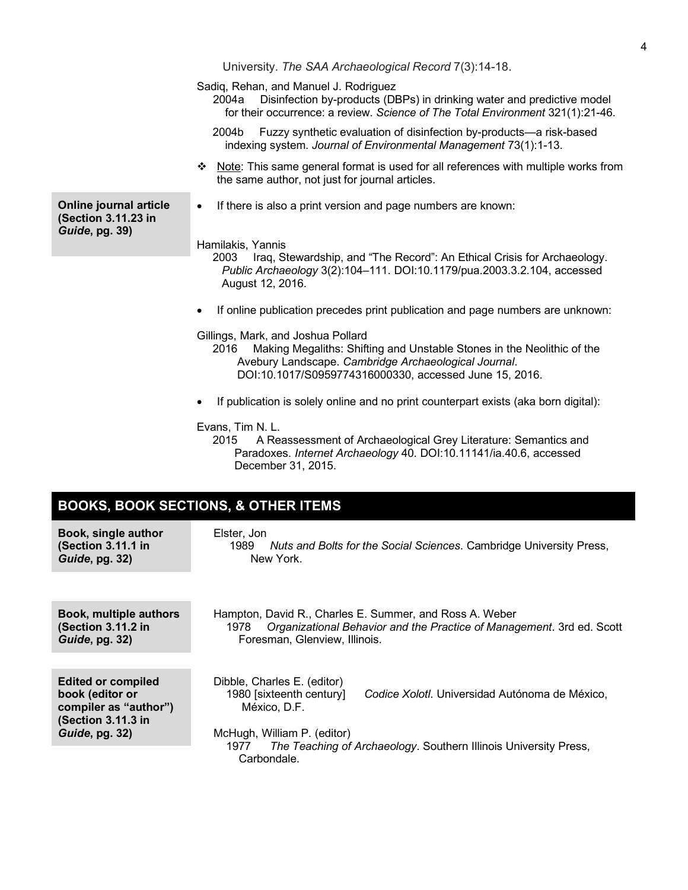University. *The SAA Archaeological Record* 7(3):14-18. Sadiq, Rehan, and Manuel J. Rodriguez 2004a Disinfection by-products (DBPs) in drinking water and predictive model for their occurrence: a review. *Science of The Total Environment* 321(1):21-46. 2004b Fuzzy synthetic evaluation of disinfection by-products—a risk-based indexing system. *Journal of Environmental Management* 73(1):1-13.  $\div$  Note: This same general format is used for all references with multiple works from the same author, not just for journal articles. **Online journal article (Section 3.11.23 in**  *Guide***, pg. 39)** • If there is also a print version and page numbers are known: Hamilakis, Yannis 2003 Iraq, Stewardship, and "The Record": An Ethical Crisis for Archaeology. *Public Archaeology* 3(2):104–111. DOI:10.1179/pua.2003.3.2.104, accessed August 12, 2016. • If online publication precedes print publication and page numbers are unknown: Gillings, Mark, and Joshua Pollard 2016 Making Megaliths: Shifting and Unstable Stones in the Neolithic of the Avebury Landscape. *Cambridge Archaeological Journal*. DOI:10.1017/S0959774316000330, accessed June 15, 2016. If publication is solely online and no print counterpart exists (aka born digital): Evans, Tim N. L. 2015 A Reassessment of Archaeological Grey Literature: Semantics and Paradoxes. *Internet Archaeology* 40. DOI:10.11141/ia.40.6, accessed

4

# **BOOKS, BOOK SECTIONS, & OTHER ITEMS**

| Book, single author<br>(Section 3.11.1 in<br>Guide, pg. 32)                                 | Elster, Jon<br>Nuts and Bolts for the Social Sciences. Cambridge University Press,<br>1989<br>New York.                                                                   |  |
|---------------------------------------------------------------------------------------------|---------------------------------------------------------------------------------------------------------------------------------------------------------------------------|--|
|                                                                                             |                                                                                                                                                                           |  |
| Book, multiple authors<br>(Section 3.11.2 in<br>Guide, pg. 32)                              | Hampton, David R., Charles E. Summer, and Ross A. Weber<br>Organizational Behavior and the Practice of Management. 3rd ed. Scott<br>1978<br>Foresman, Glenview, Illinois. |  |
|                                                                                             |                                                                                                                                                                           |  |
| <b>Edited or compiled</b><br>book (editor or<br>compiler as "author")<br>(Section 3.11.3 in | Dibble, Charles E. (editor)<br>1980 [sixteenth century]<br>Codice Xolotl. Universidad Autónoma de México,<br>México. D.F.                                                 |  |
| Guide, pg. 32)                                                                              | McHugh, William P. (editor)<br>The Teaching of Archaeology. Southern Illinois University Press,<br>1977<br>Carbondale.                                                    |  |

December 31, 2015.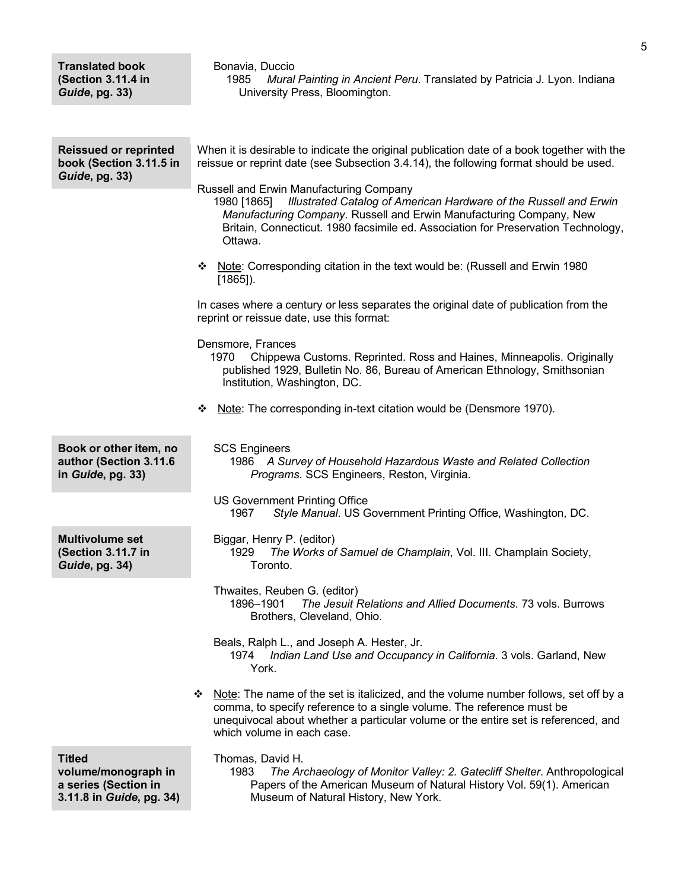| <b>Translated book</b><br>(Section 3.11.4 in<br>Guide, pg. 33)                           | Bonavia, Duccio<br>Mural Painting in Ancient Peru. Translated by Patricia J. Lyon. Indiana<br>1985<br>University Press, Bloomington.                                                                                                                                                               |
|------------------------------------------------------------------------------------------|----------------------------------------------------------------------------------------------------------------------------------------------------------------------------------------------------------------------------------------------------------------------------------------------------|
|                                                                                          |                                                                                                                                                                                                                                                                                                    |
| <b>Reissued or reprinted</b><br>book (Section 3.11.5 in<br>Guide, pg. 33)                | When it is desirable to indicate the original publication date of a book together with the<br>reissue or reprint date (see Subsection 3.4.14), the following format should be used.                                                                                                                |
|                                                                                          | Russell and Erwin Manufacturing Company<br>Illustrated Catalog of American Hardware of the Russell and Erwin<br>1980 [1865]<br>Manufacturing Company. Russell and Erwin Manufacturing Company, New<br>Britain, Connecticut. 1980 facsimile ed. Association for Preservation Technology,<br>Ottawa. |
|                                                                                          | Note: Corresponding citation in the text would be: (Russell and Erwin 1980)<br>❖<br>$[1865]$ ).                                                                                                                                                                                                    |
|                                                                                          | In cases where a century or less separates the original date of publication from the<br>reprint or reissue date, use this format:                                                                                                                                                                  |
|                                                                                          | Densmore, Frances<br>Chippewa Customs. Reprinted. Ross and Haines, Minneapolis. Originally<br>1970<br>published 1929, Bulletin No. 86, Bureau of American Ethnology, Smithsonian<br>Institution, Washington, DC.                                                                                   |
|                                                                                          | Note: The corresponding in-text citation would be (Densmore 1970).<br>❖                                                                                                                                                                                                                            |
| Book or other item, no<br>author (Section 3.11.6<br>in Guide, pg. 33)                    | <b>SCS Engineers</b><br>1986 A Survey of Household Hazardous Waste and Related Collection<br>Programs. SCS Engineers, Reston, Virginia.                                                                                                                                                            |
|                                                                                          | <b>US Government Printing Office</b><br>1967<br>Style Manual. US Government Printing Office, Washington, DC.                                                                                                                                                                                       |
| <b>Multivolume set</b><br>(Section 3.11.7 in<br>Guide, pg. 34)                           | Biggar, Henry P. (editor)<br>1929<br>The Works of Samuel de Champlain, Vol. III. Champlain Society,<br>Toronto.                                                                                                                                                                                    |
|                                                                                          | Thwaites, Reuben G. (editor)<br>1896-1901<br>The Jesuit Relations and Allied Documents. 73 vols. Burrows<br>Brothers, Cleveland, Ohio.                                                                                                                                                             |
|                                                                                          | Beals, Ralph L., and Joseph A. Hester, Jr.<br>Indian Land Use and Occupancy in California. 3 vols. Garland, New<br>1974<br>York.                                                                                                                                                                   |
|                                                                                          | ❖ Note: The name of the set is italicized, and the volume number follows, set off by a<br>comma, to specify reference to a single volume. The reference must be<br>unequivocal about whether a particular volume or the entire set is referenced, and<br>which volume in each case.                |
| <b>Titled</b><br>volume/monograph in<br>a series (Section in<br>3.11.8 in Guide, pg. 34) | Thomas, David H.<br>1983<br>The Archaeology of Monitor Valley: 2. Gatecliff Shelter. Anthropological<br>Papers of the American Museum of Natural History Vol. 59(1). American<br>Museum of Natural History, New York.                                                                              |

5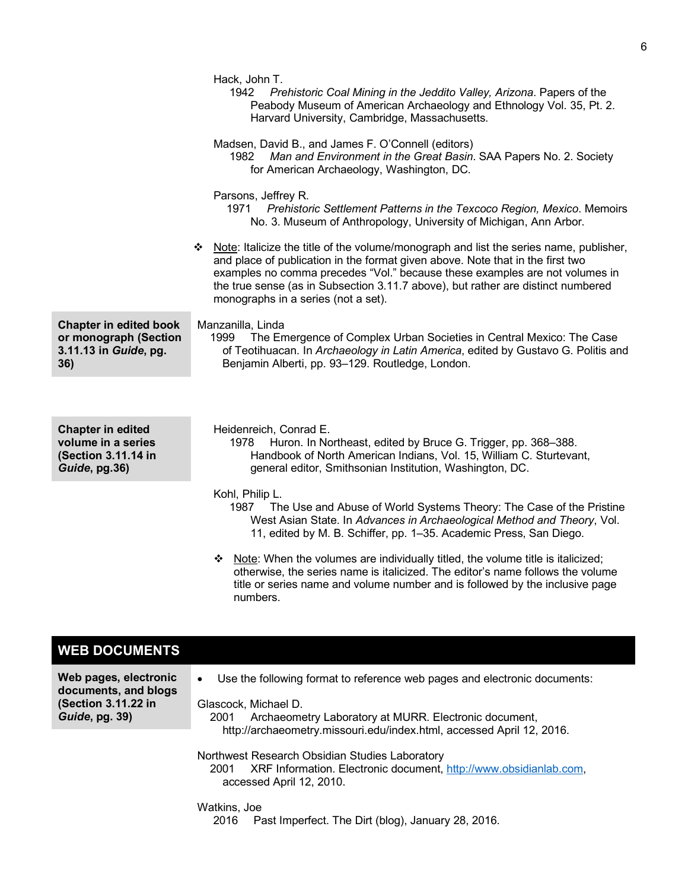|                                                                                        | Hack, John T.<br>1942 Prehistoric Coal Mining in the Jeddito Valley, Arizona. Papers of the<br>Peabody Museum of American Archaeology and Ethnology Vol. 35, Pt. 2.<br>Harvard University, Cambridge, Massachusetts.<br>Madsen, David B., and James F. O'Connell (editors)<br>Man and Environment in the Great Basin. SAA Papers No. 2. Society<br>1982<br>for American Archaeology, Washington, DC. |
|----------------------------------------------------------------------------------------|------------------------------------------------------------------------------------------------------------------------------------------------------------------------------------------------------------------------------------------------------------------------------------------------------------------------------------------------------------------------------------------------------|
|                                                                                        | Parsons, Jeffrey R.<br>Prehistoric Settlement Patterns in the Texcoco Region, Mexico. Memoirs<br>1971<br>No. 3. Museum of Anthropology, University of Michigan, Ann Arbor.                                                                                                                                                                                                                           |
|                                                                                        | ❖ Note: Italicize the title of the volume/monograph and list the series name, publisher,<br>and place of publication in the format given above. Note that in the first two<br>examples no comma precedes "Vol." because these examples are not volumes in<br>the true sense (as in Subsection 3.11.7 above), but rather are distinct numbered<br>monographs in a series (not a set).                 |
| <b>Chapter in edited book</b><br>or monograph (Section<br>3.11.13 in Guide, pg.<br>36) | Manzanilla, Linda<br>The Emergence of Complex Urban Societies in Central Mexico: The Case<br>1999<br>of Teotihuacan. In Archaeology in Latin America, edited by Gustavo G. Politis and<br>Benjamin Alberti, pp. 93-129. Routledge, London.                                                                                                                                                           |
|                                                                                        |                                                                                                                                                                                                                                                                                                                                                                                                      |
| <b>Chapter in edited</b><br>volume in a series<br>(Section 3.11.14 in<br>Guide, pg.36) | Heidenreich, Conrad E.<br>Huron. In Northeast, edited by Bruce G. Trigger, pp. 368-388.<br>1978<br>Handbook of North American Indians, Vol. 15, William C. Sturtevant,<br>general editor, Smithsonian Institution, Washington, DC.                                                                                                                                                                   |
|                                                                                        | Kohl, Philip L.<br>The Use and Abuse of World Systems Theory: The Case of the Pristine<br>1987<br>West Asian State. In Advances in Archaeological Method and Theory, Vol.<br>11, edited by M. B. Schiffer, pp. 1-35. Academic Press, San Diego.                                                                                                                                                      |
|                                                                                        | ❖ Note: When the volumes are individually titled, the volume title is italicized;<br>otherwise, the series name is italicized. The editor's name follows the volume<br>title or series name and volume number and is followed by the inclusive page<br>numbers.                                                                                                                                      |
|                                                                                        |                                                                                                                                                                                                                                                                                                                                                                                                      |
| <b>WEB DOCUMENTS</b>                                                                   |                                                                                                                                                                                                                                                                                                                                                                                                      |
| Web pages, electronic<br>documents, and blogs<br>(Section 3.11.22 in<br>Guide, pg. 39) | Use the following format to reference web pages and electronic documents:<br>$\bullet$<br>Glascock, Michael D.<br>Archaeometry Laboratory at MURR. Electronic document,<br>2001                                                                                                                                                                                                                      |
|                                                                                        | http://archaeometry.missouri.edu/index.html, accessed April 12, 2016.                                                                                                                                                                                                                                                                                                                                |

Northwest Research Obsidian Studies Laboratory 2001 XRF Information. Electronic document, http://www.obsidianlab.com, accessed April 12, 2010.

Watkins, Joe 2016 Past Imperfect. The Dirt (blog), January 28, 2016.